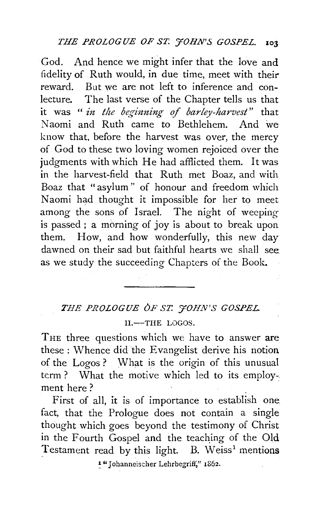God. And hence we might infer that the love and fidelity of Ruth would, in due time, meet with their reward. But we are not left to inference and conlecture. The last verse of the Chapter tells us that it was "*in the beginning of barley-harvest*" that Naomi and Ruth came to Bethlehem. And we know that, before the harvest was over, the mercy of God to these two loving women rejoiced over the judgments with which He had afflicted them. It was in the harvest-field that Ruth met Boaz, and with Boaz that "asylum" of honour and freedom which Naomi had thought it impossible for her to meet among the sons of Israel. The night of weeping is passed ; a morning of joy is about to break upon them. How, and how wonderfully, this new day dawned on their sad but faithful hearts we shall see. as we study the succeeding Chapters of the Book.

# *THE PROLOGUE OF ST. 'JOHN'S GOSPEL*   $II - THE LOGOS.$

THE three questions which we have to answer are these : Whence did the Evangelist derive his notion of the Logos ? What is the origin of this unusual term? What the motive which led to its employment here?

First of all, it is of importance to establish one. fact, that the Prologue does not contain a single thought which goes beyond the testimony of Christ in the Fourth Gospel and the teaching of the Old Testament read by this light. B. Weiss<sup>1</sup> mentions

~ "J ohanneis::her Lehrbegrift~" 1862.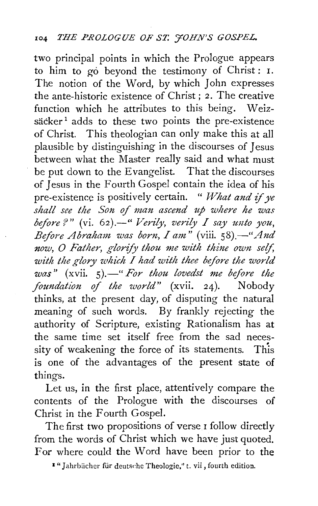two principal points in which the Prologue appears to him to go beyond the testimony of Christ : I. The notion of the Word, by which John expresses the ante-historic existence of Christ; 2. The creative function which he attributes to this being. Weizsäcker<sup>1</sup> adds to these two points the pre-existence of Christ. This theologian can only make this at all plausible by distinguishing in the discourses of Jesus between what the Master really said and what must be put down to the Evangelist. That the discourses of Jesus in the Fourth Gospel contain the idea of his pre-existence is positively certain. " *What and* if *ye shall see the Son of man ascend up where he was before?"* (vi. 62).—" *Verily, verily I say unto you, Before Abraham was born, I am"* (viii. *58).-"And now, 0 Father, glorify thou me with thine own seif, with the glory which I had with thee before the world was*" (xvii. 5).—" *For thou lovedst me before the foundation of the world*" (xvii. 24). Nobody *foundation of the world*" (xvii. 24). thinks, at the present day, of disputing the natural meaning of such words. By frankly rejecting the authority of Scripture, existing Rationalism has at the same time set itself free from the sad necessity of weakening the force of its statements. This is one of the advantages of the present state of things.

Let us, in the first place, attentively compare the contents of the Prologue with the discourses of Christ in the Fourth Gospel.

The first two propositions of verse I follow directly from the words of Christ which we have just quoted. For where could the Word have been prior to the

<sup>2</sup> "Jahrbücher für deutsche Theologie," t. vii , fourth edition.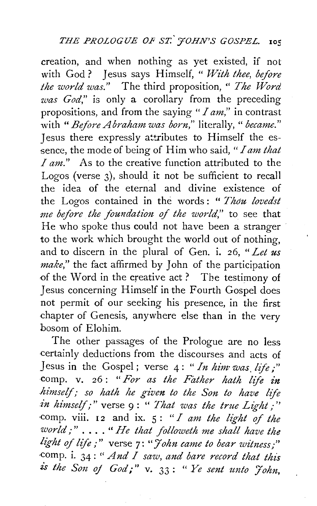creation, and when nothing as yet existed, if not with God ? Jesus says Himself, " *With thee, before the world was."* The third proposition, " *The Word was God*," is only a corollary from the preceding propositions, and from the saying *"I am,"* in contrast with "Before Abraham was born," literally, " became." Jesus there expressly attributes to Himself the essence, the mode of being of Him who said," *I am that*  I am." As to the creative function attributed to the Logos (verse 3), should it not be sufficient to recall the idea of the eternal and divine existence of the Logos contained in the words: " Thou lovedst *me before the foundation* of *the world,"* to see that He who spoke thus could not have been a stranger to the work which brought the world out of nothing, and to discern in the plural of Gen. i. 26, *"Let us make,"* the fact affirmed by John of the participation of the Word in the creative act ? The testimony of Jesus concerning Himself inthe Fourth Gospel does not permit of our seeking his presence, in the first chapter of Genesis, anywhere else than in the very bosom of Elohim.

The other passages of the Prologue are no less certainly deductions from the discourses and acts of Jesus in the Gospel; verse 4: *"In him· was. life;"*  comp. v. 26: "For as the Father hath life in *himself,· so hath he given to the Son to have life in himself;"* verse 9 : " *That was the true Light,·''*  comp. viii. 12 and ix.  $5:$  *"I am the light of the world;* " . . . . " *He that followeth me shall have the light of life*;" verse 7: "*John came to bear witness*;" ·Camp. i. 34: *"And I saw, and bare record that this is the Son of God,-''* v. 33 : " *Ye sent unto J'ohn,*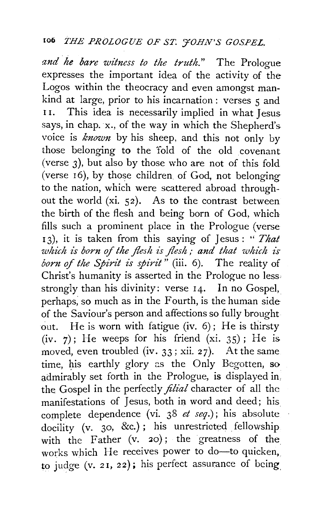*and he bare witness to the truth."* The Prologue expresses the important idea of the activity of the Logos within the theocracy and even amongst mankind at large, prior to his incarnation : verses  $\epsilon$  and II. This idea is necessarily implied in what Jesus says, in chap. x., of the way in which the Shepherd's. voice is *known* by his sheep, and this not only by those belonging to the 'fold of the old covenant (verse 3), but also by those who are not of this fold (verse r6), by those children of God, not belonging to the nation, which were scattered abroad throughout the world (xi. 52). As to the contrast between the birth of the flesh and being born of God, which fills such a prominent place in the Prologue (verse <sup>I</sup>3), it is taken from this saying of Jesus : " *That*  which is born of the flesh is flesh; and that which is born of the Spirit is spirit" (iii. 6). The reality of Christ's humanity is asserted in the Prologue no less: strongly than his divinity: verse 14. In no Gospel, perhaps; so much as in the Fourth, is the human side of the Saviour's person and affections so fully brought out. He is worn with fatigue (iv. 6); He is thirsty (iv.  $7$ ); He weeps for his friend (xi. 35); He is. moved, even troubled (iv.  $33$ ; xii. 27). At the same time, his earthly glory as the Only Begotten, so admirably set forth in the Prologue, is displayed in, the Gospel in the perfectly *filial* character of all the manifestations of Jesus, both in word and deed; his complete dependence (vi. 38 *et seq.);* his absolute docility (v. 30, &c.); his unrestricted fellowship with the Father  $(v. 20)$ ; the greatness of the works which He receives power to do-to quicken, to judge  $(v. 21, 22)$ ; his perfect assurance of being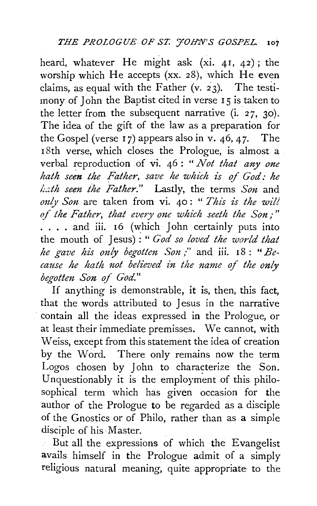heard, whatever He might ask (xi. 4I, 42); the worship which He accepts (xx. 28), which He even claims, as equal with the Father (v. 23). The testimony of John the Baptist cited in verse 15 is taken to the letter from the subsequent narrative  $(i. 27, 30)$ . The idea of the gift of the law as a preparation for the Gospel (verse 17) appears also in v. 46, 47. The 18th verse, which closes the Prologue, is almost a verbal reproduction of vi. 46: *"Not that any one*  hath seen the Father, save he which is of God: he *!.:dh seen the Father."* Lastly, the terms *Son* and *ouly Son* are taken from vi. 40 : " *This is the wilt of the Father, that every one which seeth the Son;* " .... and iii. 16 (which John certainly puts into the mouth of Jesus) : " *God so loved the world that he gave his only begotten Son* ;" and iii. 18 : *"Because he hath not believed in the name of the only begotten Son of God.*"

If anything is demonstrable, it is, then, this fact, that the words attributed to Jesus in the narrative contain all the ideas expressed in the Prologue, or at least their immediate premisses. We cannot, with Weiss, except from this statement the idea of creation by the Word. There only remains now the term Logos chosen by John to characterize the Son. Unquestionably it is the employment of this philosophical term which has given occasion for the author of the Prologue to be regarded as a disciple of the Gnostics or of Philo, rather than as a simple disciple of his Master.

But all the expressions of which the Evangelist avails himself in the Prologue admit of a simply religious natural meaning, quite appropriate to the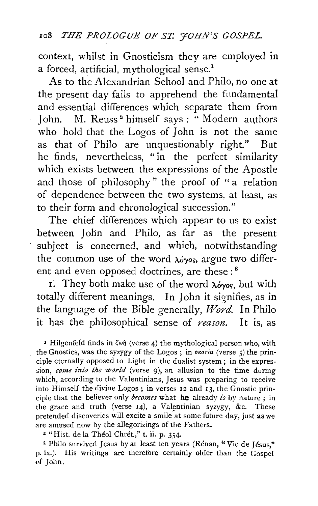context, whilst in Gnosticism they are employed in a forced, artificial, mythological sense.<sup>1</sup>

As to the Alexandrian School and Philo, no one at the present day fails to apprehend the fundamental and essential differences which separate them from John. M. Reuss<sup>2</sup> himself says: "Modern authors" who hold that the Logos of John is not the same as that of Philo are unquestionably right." But he finds, nevertheless, " in the perfect similarity which exists between the expressions of the Apostle and those of philosophy" the proof of "a relation of dependence between the two systems, at least, as to their form and chronological succession."

The chief differences which appear to us to exist between John and Philo, as far as the present subject is concerned, and which, notwithstanding the common use of the word  $\lambda_0$ org, argue two different and even opposed doctrines, are these : 8

1. They both make use of the word  $\lambda_0$  is, but with totally different meanings. In John it signifies, as in the language of the Bible generally, *Word.* In Philo it has the philosophical sense of *reason*. It is, as

<sup>1</sup> Hilgenfeld finds in  $\zeta \omega \eta$  (verse 4) the mythological person who, with the Gnostics, was the syzygy of the Logos; in  $\sigma$ *xoria* (verse 5) the principle eternally opposed to Light in the dualist system; in the expression, *come into the world* (verse 9), an allusion to the time during which, according to the Valentinians, Jesus was preparing to receive into Himself the divine Logos; in verses 12 and 13, the Gnostic principle that the believer only *becomes* what he already *is* by nature ; in the grace and truth (verse 14), a Valentinian syzygy, &c. These pretended discoveries will excite a smile at some future day, just as we are amused now by the allegorizings of the Fathers.

<sup>2</sup> "Hist. de la Théol Chrét.," t. ii. p. 354.

3 Philo survived Jesus by at least ten years (Rénan, "Vie de Jésus." p. ix.). His writings are therefore certainly older than the Gospel pf John.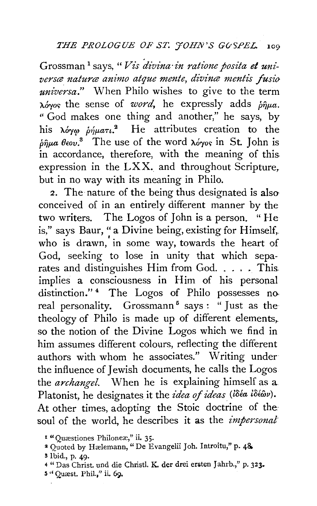Grossman 1 says," *Vis divina·in ratione posita et uni*versæ naturæ animo atque mente, divinæ mentis fusio *universa."* When Philo wishes to give to the term  $\lambda$ o*rgoria* the sense of *word*, he expressly adds  $\delta \hat{n} \mu a$ . " God makes one thing and another," he says, by his  $\lambda \phi \gamma \varphi$   $\dot{\rho} \eta \mu a \tau \iota$ .<sup>2</sup> He attributes creation to the  $\delta \hat{\eta}$ ua  $\theta$ <sub>cov</sub>.<sup>3</sup> The use of the word  $\lambda \delta \gamma$ os in St. John is in accordance, therefore, with the meaning of this. expression in the  $LXX$ . and throughout Scripture, but in no way with its meaning in Philo.

2. The nature of the being thus designated is also conceived of in an entirely different manner by the two writers. The Logos of John is a person. " He is," says Baur, "a Divine being, existing for Himself, who is drawn, in some way, towards the heart of God, seeking to lose in unity that which separates and distinguishes Him from God.  $\dots$ . This implies a consciousness in Him of his personal distinction."<sup>4</sup> The Logos of Philo possesses no. real personality. Grossmann<sup>5</sup> says : " Just as the theology of Philo is made up of different elements,. so the notion of the Divine Logos which we find in him assumes different colours, reflecting the different authors with whom he associates." Writing under the influence of Jewish documents, he calls the Logos the *archangel.* When he is explaining himself as a Platonist, he designates it the *idea of ideas* (idéa idéav). At other times, adopting the Stoic doctrine of the soul of the world, he describes it as the *impersonal* 

<sup>&</sup>lt;sup>1</sup> "Quæstiones Philoneæ," ii. 35.

<sup>&</sup>lt;sup>2</sup> Quoted by Hælemann, "De Evangelii Joh. Introitu," p. 48.

<sup>3</sup> Ibid., p. 49·

<sup>4 &</sup>quot;Das Christ. und die Christl. K. der drei ersten Jahrb.," p. 323.

**<sup>5</sup>** " Quæst. Phil.," ii. 69.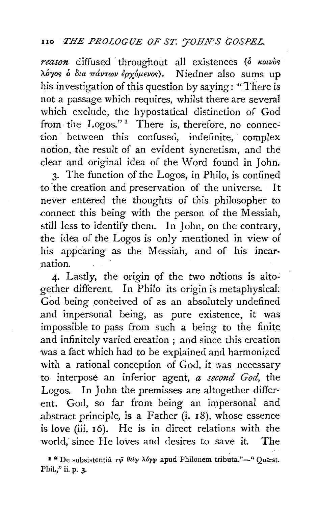#### no *THE PROLOGUE OF ST. 'JOHN'S GOSPEL.*

reason diffused throughout all existences ( $\delta$  *Kouvos* λόγος ο δια πάντων έρχομενος). Niedner also sums up his investigation of this question by saying: "There is not a passage which requires, whilst there are several which exclude, the hypostatical distinction of God from the Logos."<sup>1</sup> There is, therefore, no connection between this confused, indefinite, complex notion, the result of an evident syncretism, and the dear and original idea of the Word found in John.

3· The function of the Logos, in Philo, is confined to the creation and preservation of the universe. It never entered the thoughts of this philosopher to connect this being with the person of the Messiah, still less to identify them. In John, on the contrary, the idea of the Logos is only mentioned in view of his appearing as the Messiah, and of his incarnation.

4. Lastly, the origin of the two notions is altogether different. In Philo its origin is metaphysical: God being conceived of as an absolutely undefined and impersonal being, as pure existence, it was impossible to pass from such a being to the finite and infinitely varied creation ; and since this creation was a fact which had to be explained and harmonized with a rational conception of God, it was necessary to interpose an inferior agent, *a second God,* the Logos. In John the premisses are altogether different. God, so far from being an impersonal and abstract principle, is a Father (i. 18), whose essence is love (iii. 16). He is in direct relations with the world, since He loves and desires to save it. The

 $\bullet$  "De subsistentia  $\tau\tilde{\varphi}$  θεί $\varphi$  λόγ $\varphi$  apud Philonem tributa."-" Quast. Phil.," ii. p. 3.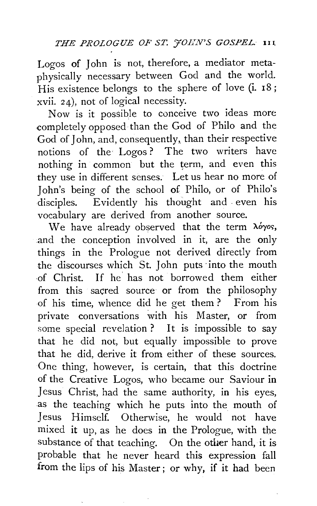Logos of John is not, therefore, a mediator metaphysically necessary between God and the world. His existence belongs to the sphere of love (i. 18; xvii. 24), not of logical necessity.

Now is it possible to conceive two ideas more completely opposed than the God of Philo and the God of John, and, consequently, than their respective notions of the Logos? The two writers have nothing in common but the term, and even this they use in different senses. Let us hear no more of John's being of the school of Philo, or of Philo's disciples. Evidently his thought and even his vocabulary are derived from another source.

We have already observed that the term  $\lambda \acute{o} \gamma$ os, and the conception involved in it, are the only things in the Prologue not derived directly from the discourses which St. John puts ·into the mouth ·of Christ. If he has not borrowed them either from this sacred source or from the philosophy of his time, whence did he get them? From his private conversations with his Master, or from some special revelation ? It is impossible to say that he did not, but equally impossible to prove that he did, derive it from either of these sources. One thing, however, is certain, that this doctrine of the Creative Logos, who became our Saviour in Jesus Christ, had the same authority, in his eyes, as the teaching which he puts into the mouth of Jesus Himself. Otherwise, he would not have mixed it up, as he does in the Prologue, with the substance of that teaching. On the other hand, it is probable that he never heard this expression fall from the lips of his Master ; or why, if it had been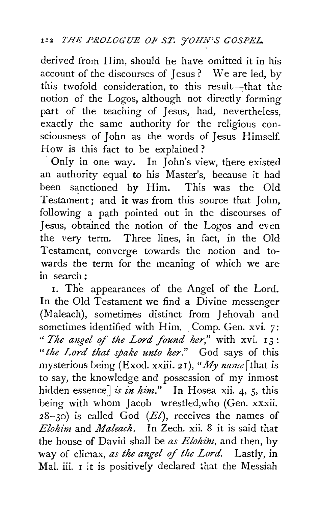derived from IIim, should he have omitted it in his account of the discourses of Jesus ? We are led, by this twofold consideration, to this result-that the notion of the Logos, although not directly forming part of the teaching of Jesus, had, nevertheless, exactly the same authority for the religious consciousness of John as the words of Jesus Himself. How is this fact to be explained?

Only in one way. In John's view, there existed an authority equal to his Master's, because it had been sanctioned by Him. This was the Old Testament ; and it was from this source that John. following a path pointed out in the discourses of Jesus, obtained the notion of the Logos and even the very term. Three lines, in fact, in the Old Testament, converge towards the notion and towards the term for the meaning of which we are in search:

I. The appearances of the Angel of the Lord. In the Old Testament we find a Divine messenger (Maleach), sometimes distinct from Jehovah and sometimes identified with Him. Comp. Gen. xvi. 7: " The angel of the Lord found her," with xvi. 13: "the Lord that spake unto her." God says of this mysterious being (Exod. xxiii. 2 I), *"My uame* [that is to say, the knowledge and possession of my inmost hidden essence] *is in him*." In Hosea xii. 4, 5, this being with whom Jacob wrestled, who (Gen. xxxii. 28-30) is called God *(El),* receives the names of *Elohim* and *Maleach.* In Zech. xii. 8 it is said that the house of David shall be *as Elohim,* and then, by way of climax, *as the angel of the Lord*. Lastly, in Mal. iii.  $I$  it is positively declared that the Messiah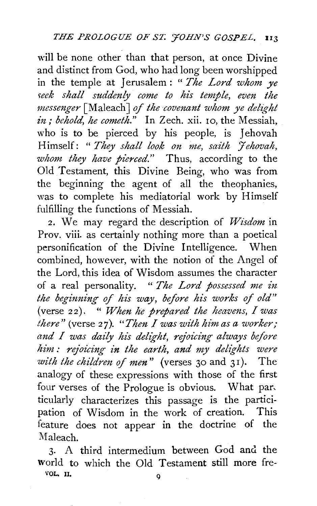will be none other than that person, at once Divine and distinct from God, who had long been worshipped in the temple at Jerusalem : " *The Lord whom ye 'ieek shall suddenly come to his temple, even the messenger* [Maleach J *of the covenant whom ye del{[[ht in*; *behold, he cometh.*" In Zech. xii. 10, the Messiah, who is to be pierced by his people, is Jehovah Himself: *"They shall look on me, saith 'Jehovah,*  whom they have pierced." Thus, according to the Old Testament, this Divine Being, who was from the beginning the agent of all the theophanies, was to complete his mediatorial work by Himself fulfilling the functions of Messiah.

2. We may regard the description of *Wisdom* in Prov. viii. as certainly nothing more than a poetical personification of the Divine Intelligence. When combined, however, with the notion of the Angel of the Lord, this idea of Wisdom assumes the character of a real personality. " *The Lord possessed me in the beginning of his way, before his works of old"*  (verse 22). " *When he prepared the heavens, I was there"* (verse 2 *7* ). *"Then I was with him as a worker;*  and I was daily his delight, rejoicing always before *him : rejoicing in the earth, and my delights were with the children of men"* (verses 30 and 31). The analogy of these expressions with those of the first four verses of the Prologue is obvious. What par, ticularly characterizes this passage is the participation of Wisdom in the work of creation. This feature does not appear in the doctrine of the Maleach.

3· A third intermedium between God ancl the world to which the Old Testament still more fre-VQL, II, Q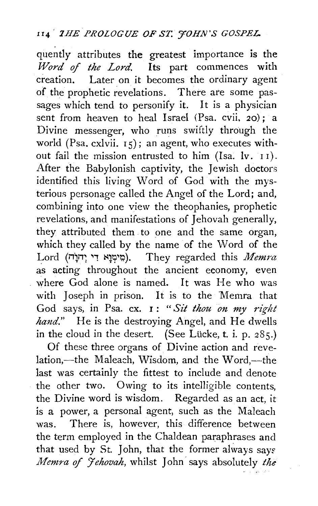## 114<sup>'</sup> *1HE PROLOGUE OF ST. 'HOHN'S GOSPEL*.

quently attributes the greatest importance is the *Word* of *the Lord.* Its part commences with creation. Later on it becomes the ordinary agent of the prophetic revelations. There are some passages which tend to personify it. It is a physician sent from heaven to heal Israel (Psa. cvii, 20); a Divine messenger, who runs swiftly through the world (Psa. cxlvii. 15); an agent, who executes without fail the mission entrusted to him (Isa. lv. 11). After the Babylonish captivity, the Jewish doctors identified this living Word of God with the mysterious personage called the Angel of the Lord; and, combining into one view the theophanies, prophetic revelations, and manifestations of Jehovah generally, they attributed them to one and the same organ, which they called by the name of the Word of the Lord (il)i'T; '1 ~V.?r.?). They regarded this *Memra*  as acting throughout the ancient economy, even where God alone is named. It was He who was with Joseph in prison. It is to the Memra that God says, in Psa. ex. I: *"Sit thou on my right hand."* He is the destroying Angel, and He dwells in the cloud in the desert. (See Lücke, t. i. p.  $285$ .)

Of these three organs of Divine action and revelation,-the Maleach, Wisdom, and the Word,-the last was certainly the fittest to include and denote the other two. Owing to its intelligible contents, the Divine word is wisdom. Regarded as an act, it is a power, a personal agent, such as the Maleach was. There is, however, this difference between the term employed in the Chaldean paraphrases and that used by St. John, that the former always says *Memra of 'Jehovah*, whilst John' says absolutely the